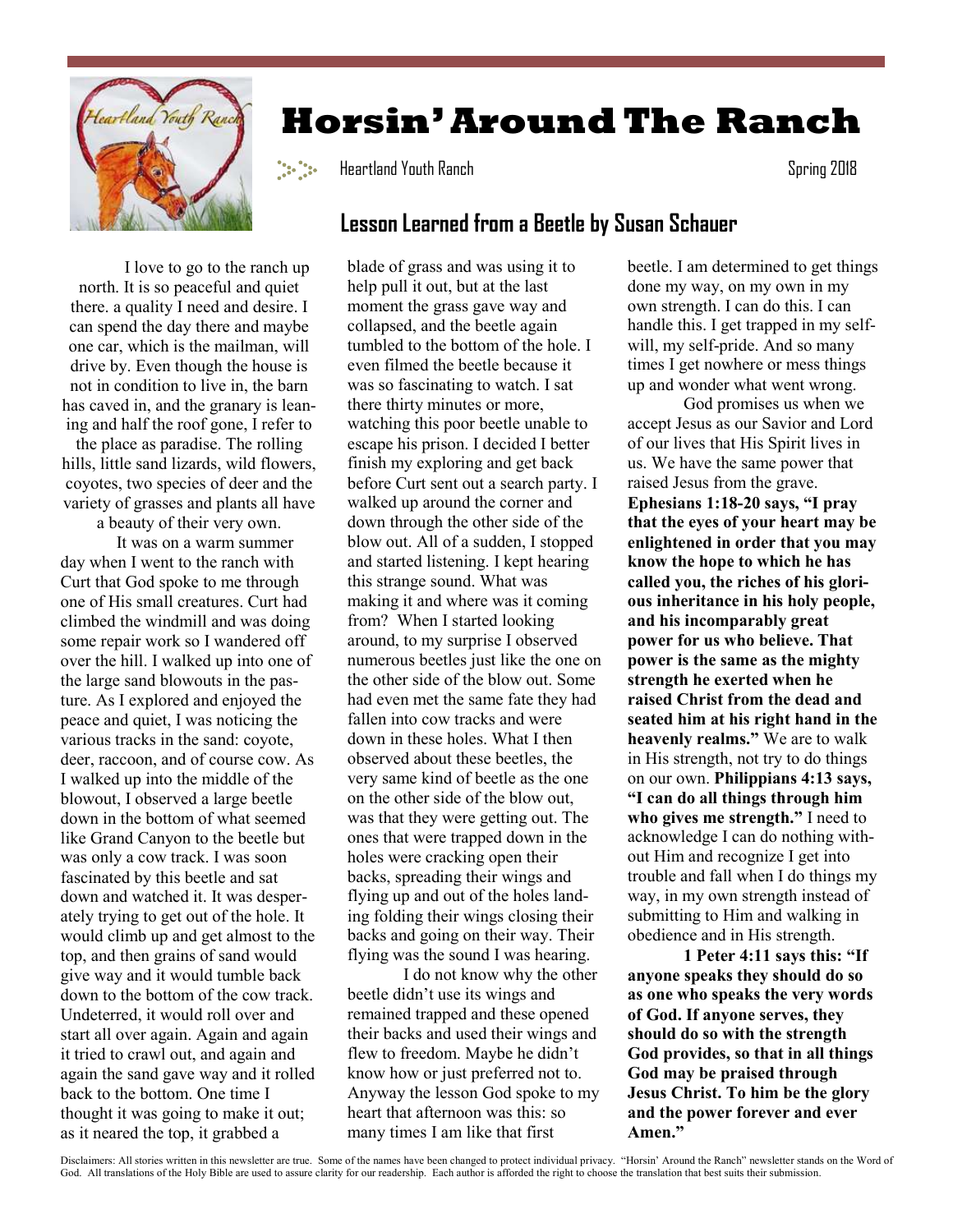

# **Horsin' Around The Ranch**

Heartland Youth Ranch Spring 2018

## **Lesson Learned from a Beetle by Susan Schauer**

 I love to go to the ranch up north. It is so peaceful and quiet there. a quality I need and desire. I can spend the day there and maybe one car, which is the mailman, will drive by. Even though the house is not in condition to live in, the barn has caved in, and the granary is leaning and half the roof gone, I refer to

the place as paradise. The rolling hills, little sand lizards, wild flowers, coyotes, two species of deer and the variety of grasses and plants all have

a beauty of their very own. It was on a warm summer day when I went to the ranch with Curt that God spoke to me through one of His small creatures. Curt had climbed the windmill and was doing some repair work so I wandered off over the hill. I walked up into one of the large sand blowouts in the pasture. As I explored and enjoyed the peace and quiet, I was noticing the various tracks in the sand: coyote, deer, raccoon, and of course cow. As I walked up into the middle of the blowout, I observed a large beetle down in the bottom of what seemed like Grand Canyon to the beetle but was only a cow track. I was soon fascinated by this beetle and sat down and watched it. It was desperately trying to get out of the hole. It would climb up and get almost to the top, and then grains of sand would give way and it would tumble back down to the bottom of the cow track. Undeterred, it would roll over and start all over again. Again and again it tried to crawl out, and again and again the sand gave way and it rolled back to the bottom. One time I thought it was going to make it out; as it neared the top, it grabbed a

blade of grass and was using it to help pull it out, but at the last moment the grass gave way and collapsed, and the beetle again tumbled to the bottom of the hole. I even filmed the beetle because it was so fascinating to watch. I sat there thirty minutes or more, watching this poor beetle unable to escape his prison. I decided I better finish my exploring and get back before Curt sent out a search party. I walked up around the corner and down through the other side of the blow out. All of a sudden, I stopped and started listening. I kept hearing this strange sound. What was making it and where was it coming from? When I started looking around, to my surprise I observed numerous beetles just like the one on the other side of the blow out. Some had even met the same fate they had fallen into cow tracks and were down in these holes. What I then observed about these beetles, the very same kind of beetle as the one on the other side of the blow out, was that they were getting out. The ones that were trapped down in the holes were cracking open their backs, spreading their wings and flying up and out of the holes landing folding their wings closing their backs and going on their way. Their flying was the sound I was hearing.

 I do not know why the other beetle didn't use its wings and remained trapped and these opened their backs and used their wings and flew to freedom. Maybe he didn't know how or just preferred not to. Anyway the lesson God spoke to my heart that afternoon was this: so many times I am like that first

beetle. I am determined to get things done my way, on my own in my own strength. I can do this. I can handle this. I get trapped in my selfwill, my self-pride. And so many times I get nowhere or mess things up and wonder what went wrong.

 God promises us when we accept Jesus as our Savior and Lord of our lives that His Spirit lives in us. We have the same power that raised Jesus from the grave. **Ephesians 1:18-20 says, "I pray that the eyes of your heart may be enlightened in order that you may know the hope to which he has called you, the riches of his glorious inheritance in his holy people, and his incomparably great power for us who believe. That power is the same as the mighty strength he exerted when he raised Christ from the dead and seated him at his right hand in the heavenly realms."** We are to walk in His strength, not try to do things on our own. **Philippians 4:13 says, "I can do all things through him who gives me strength."** I need to acknowledge I can do nothing without Him and recognize I get into trouble and fall when I do things my way, in my own strength instead of submitting to Him and walking in obedience and in His strength.

**1 Peter 4:11 says this: "If anyone speaks they should do so as one who speaks the very words of God. If anyone serves, they should do so with the strength God provides, so that in all things God may be praised through Jesus Christ. To him be the glory and the power forever and ever Amen."**